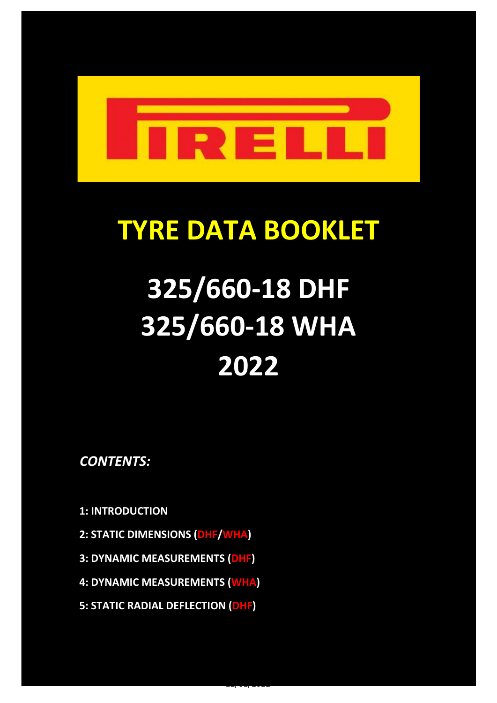

# **TYRE DATA BOOKLET**

# **325/660-18 DHF 325/660-18 WHA 2022**

12/01/2022

*CONTENTS:*

**1: INTRODUCTION**

- **2: STATIC DIMENSIONS (DHF/WHA)**
- **3: DYNAMIC MEASUREMENTS (DHF)**
- **4: DYNAMIC MEASUREMENTS (WHA)**
- **5: STATIC RADIAL DEFLECTION (DHF)**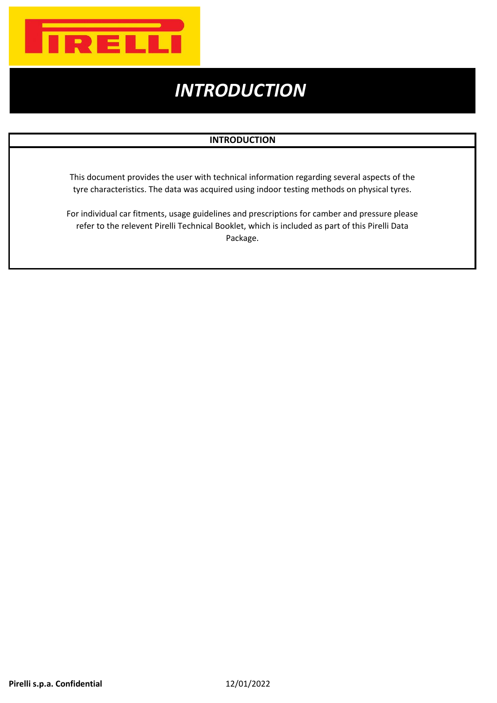

# *INTRODUCTION*

#### **INTRODUCTION**

This document provides the user with technical information regarding several aspects of the tyre characteristics. The data was acquired using indoor testing methods on physical tyres.

For individual car fitments, usage guidelines and prescriptions for camber and pressure please refer to the relevent Pirelli Technical Booklet, which is included as part of this Pirelli Data Package.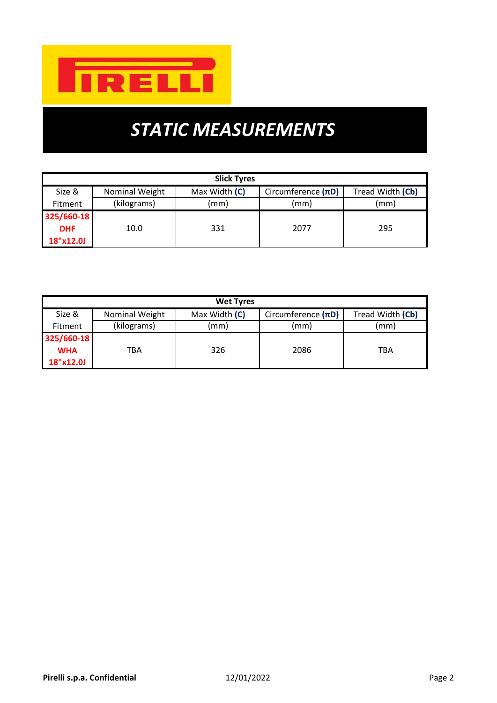

# *STATIC MEASUREMENTS*

| <b>Slick Tyres</b> |                     |               |                         |                  |  |  |  |  |  |
|--------------------|---------------------|---------------|-------------------------|------------------|--|--|--|--|--|
| Size &             | Nominal Weight      | Max Width (C) | Circumference $(\pi D)$ | Tread Width (Cb) |  |  |  |  |  |
| <b>Fitment</b>     | (kilograms)<br>(mm) |               | (mm)                    | (mm)             |  |  |  |  |  |
| 325/660-18         |                     |               |                         |                  |  |  |  |  |  |
| <b>DHF</b>         | 10.0                | 331           | 2077                    | 295              |  |  |  |  |  |
| 18"x12.0J          |                     |               |                         |                  |  |  |  |  |  |

| <b>Wet Tyres</b> |                |               |                         |                  |  |  |  |  |  |
|------------------|----------------|---------------|-------------------------|------------------|--|--|--|--|--|
| Size &           | Nominal Weight | Max Width (C) | Circumference $(\pi D)$ | Tread Width (Cb) |  |  |  |  |  |
| <b>Fitment</b>   | (kilograms)    | (mm)          | (mm)                    | (mm)             |  |  |  |  |  |
| 325/660-18       |                |               |                         |                  |  |  |  |  |  |
| <b>WHA</b>       | ТВА            | 326           | 2086                    | TBA              |  |  |  |  |  |
| 18"x12.0J        |                |               |                         |                  |  |  |  |  |  |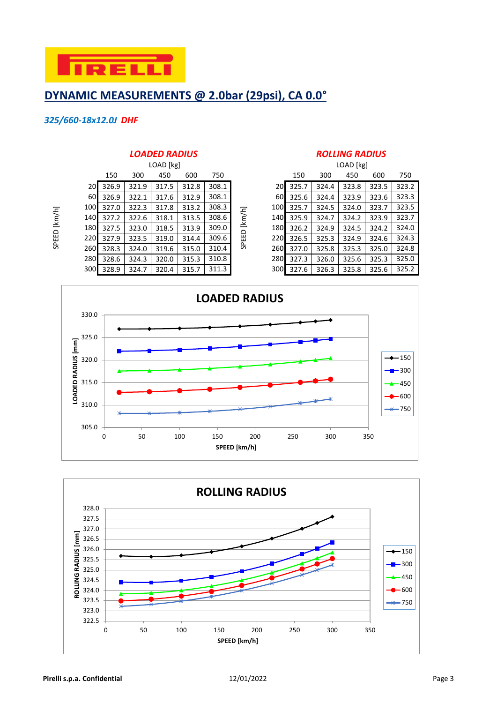

# **DYNAMIC MEASUREMENTS @ 2.0bar (29psi), CA 0.0°**

#### *325/660-18x12.0J DHF*

SPEED [km/h]

SPEED [km/h]

|                  |       |       | <b>LOADED RADIUS</b> |       |       |          | <b>ROLLING RADIUS</b> |       |           |       |       |       |
|------------------|-------|-------|----------------------|-------|-------|----------|-----------------------|-------|-----------|-------|-------|-------|
|                  |       |       | LOAD [kg]            |       |       |          |                       |       | LOAD [kg] |       |       |       |
|                  | 150   | 300   | 450                  | 600   | 750   |          |                       | 150   | 300       | 450   | 600   | 750   |
| <b>20</b>        | 326.9 | 321.9 | 317.5                | 312.8 | 308.1 |          | 20I                   | 325.7 | 324.4     | 323.8 | 323.5 | 323.2 |
| 60 <sup>1</sup>  | 326.9 | 322.1 | 317.6                | 312.9 | 308.1 |          | 60 <sup>1</sup>       | 325.6 | 324.4     | 323.9 | 323.6 | 323.3 |
| 100 <sup>1</sup> | 327.0 | 322.3 | 317.8                | 313.2 | 308.3 |          | 100                   | 325.7 | 324.5     | 324.0 | 323.7 | 323.5 |
| 140 <sup> </sup> | 327.2 | 322.6 | 318.1                | 313.5 | 308.6 | $[km/h]$ | 140                   | 325.9 | 324.7     | 324.2 | 323.9 | 323.7 |
| 180 <sup> </sup> | 327.5 | 323.0 | 318.5                | 313.9 | 309.0 | $\Box$   | 180 <sup> </sup>      | 326.2 | 324.9     | 324.5 | 324.2 | 324.0 |
| 220 <b>1</b>     | 327.9 | 323.5 | 319.0                | 314.4 | 309.6 | ⊞        | 220                   | 326.5 | 325.3     | 324.9 | 324.6 | 324.3 |
| 260 <b>1</b>     | 328.3 | 324.0 | 319.6                | 315.0 | 310.4 | 95       | 260                   | 327.0 | 325.8     | 325.3 | 325.0 | 324.8 |
| 280 <b>1</b>     | 328.6 | 324.3 | 320.0                | 315.3 | 310.8 |          | 280                   | 327.3 | 326.0     | 325.6 | 325.3 | 325.0 |
| 300 <b>1</b>     | 328.9 | 324.7 | 320.4                | 315.7 | 311.3 |          | 300                   | 327.6 | 326.3     | 325.8 | 325.6 | 325.2 |

#### *LOADED RADIUS ROLLING RADIUS*

|              | LOAD [kg] |       |       |       |       |        |                  | LOAD [kg] |       |       |       |       |
|--------------|-----------|-------|-------|-------|-------|--------|------------------|-----------|-------|-------|-------|-------|
|              | 150       | 300   | 450   | 600   | 750   |        |                  | 150       | 300   | 450   | 600   | 750   |
| <b>20</b>    | 326.9     | 321.9 | 317.5 | 312.8 | 308.1 |        | 20I              | 325.7     | 324.4 | 323.8 | 323.5 | 323.2 |
| 60           | 326.9     | 322.1 | 317.6 | 312.9 | 308.1 |        | 60 <sup>1</sup>  | 325.6     | 324.4 | 323.9 | 323.6 | 323.3 |
| 100 <b>1</b> | 327.0     | 322.3 | 317.8 | 313.2 | 308.3 |        | 100              | 325.7     | 324.5 | 324.0 | 323.7 | 323.5 |
| 140          | 327.2     | 322.6 | 318.1 | 313.5 | 308.6 | [km/h] | 140I             | 325.9     | 324.7 | 324.2 | 323.9 | 323.7 |
| 180          | 327.5     | 323.0 | 318.5 | 313.9 | 309.0 |        | 180 <sup> </sup> | 326.2     | 324.9 | 324.5 | 324.2 | 324.0 |
| 220l         | 327.9     | 323.5 | 319.0 | 314.4 | 309.6 | SPEED  | <b>220</b>       | 326.5     | 325.3 | 324.9 | 324.6 | 324.3 |
| 260 <b>1</b> | 328.3     | 324.0 | 319.6 | 315.0 | 310.4 |        | 260 <b>I</b>     | 327.0     | 325.8 | 325.3 | 325.0 | 324.8 |
| 280l         | 328.6     | 324.3 | 320.0 | 315.3 | 310.8 |        | 280              | 327.3     | 326.0 | 325.6 | 325.3 | 325.0 |
| 300l         | 328.9     | 324.7 | 320.4 | 315.7 | 311.3 |        | 300 <sup>1</sup> | 327.6     | 326.3 | 325.8 | 325.6 | 325.2 |



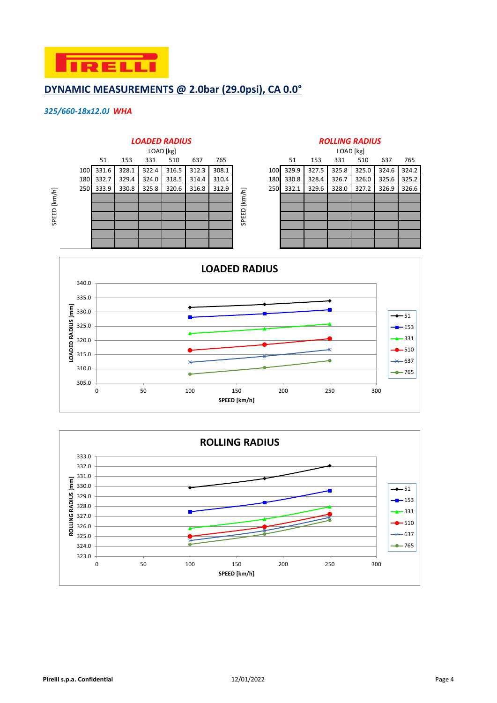

### **DYNAMIC MEASUREMENTS @ 2.0bar (29.0psi), CA 0.0°**

#### *325/660-18x12.0J WHA*



|            | LOAD [kg] |       |       |       |       |       |  |  |  |  |  |  |
|------------|-----------|-------|-------|-------|-------|-------|--|--|--|--|--|--|
|            | 51        | 153   | 331   | 510   | 637   | 765   |  |  |  |  |  |  |
| <b>LOO</b> | 329.9     | 327.5 | 325.8 | 325.0 | 324.6 | 324.2 |  |  |  |  |  |  |
| L80        | 330.8     | 328.4 | 326.7 | 326.0 | 325.6 | 325.2 |  |  |  |  |  |  |
| 250        | 332.1     | 329.6 | 328.0 | 327.2 | 326.9 | 326.6 |  |  |  |  |  |  |
|            |           |       |       |       |       |       |  |  |  |  |  |  |
|            |           |       |       |       |       |       |  |  |  |  |  |  |
|            |           |       |       |       |       |       |  |  |  |  |  |  |
|            |           |       |       |       |       |       |  |  |  |  |  |  |
|            |           |       |       |       |       |       |  |  |  |  |  |  |
|            |           |       |       |       |       |       |  |  |  |  |  |  |



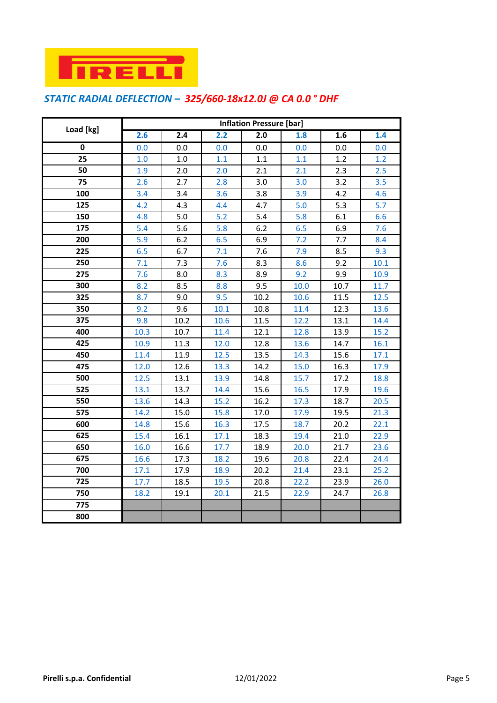

# *STATIC RADIAL DEFLECTION – 325/660-18x12.0J @ CA 0.0 ° DHF*

|           | <b>Inflation Pressure [bar]</b> |                  |      |      |      |      |      |  |  |  |
|-----------|---------------------------------|------------------|------|------|------|------|------|--|--|--|
| Load [kg] | 2.6                             | $\overline{2.4}$ | 2.2  | 2.0  | 1.8  | 1.6  | 1.4  |  |  |  |
| 0         | 0.0                             | 0.0              | 0.0  | 0.0  | 0.0  | 0.0  | 0.0  |  |  |  |
| 25        | 1.0                             | 1.0              | 1.1  | 1.1  | 1.1  | 1.2  | 1.2  |  |  |  |
| 50        | 1.9                             | 2.0              | 2.0  | 2.1  | 2.1  | 2.3  | 2.5  |  |  |  |
| 75        | 2.6                             | 2.7              | 2.8  | 3.0  | 3.0  | 3.2  | 3.5  |  |  |  |
| 100       | 3.4                             | 3.4              | 3.6  | 3.8  | 3.9  | 4.2  | 4.6  |  |  |  |
| 125       | 4.2                             | 4.3              | 4.4  | 4.7  | 5.0  | 5.3  | 5.7  |  |  |  |
| 150       | 4.8                             | 5.0              | 5.2  | 5.4  | 5.8  | 6.1  | 6.6  |  |  |  |
| 175       | 5.4                             | 5.6              | 5.8  | 6.2  | 6.5  | 6.9  | 7.6  |  |  |  |
| 200       | 5.9                             | 6.2              | 6.5  | 6.9  | 7.2  | 7.7  | 8.4  |  |  |  |
| 225       | 6.5                             | 6.7              | 7.1  | 7.6  | 7.9  | 8.5  | 9.3  |  |  |  |
| 250       | 7.1                             | 7.3              | 7.6  | 8.3  | 8.6  | 9.2  | 10.1 |  |  |  |
| 275       | 7.6                             | 8.0              | 8.3  | 8.9  | 9.2  | 9.9  | 10.9 |  |  |  |
| 300       | 8.2                             | 8.5              | 8.8  | 9.5  | 10.0 | 10.7 | 11.7 |  |  |  |
| 325       | 8.7                             | 9.0              | 9.5  | 10.2 | 10.6 | 11.5 | 12.5 |  |  |  |
| 350       | 9.2                             | 9.6              | 10.1 | 10.8 | 11.4 | 12.3 | 13.6 |  |  |  |
| 375       | 9.8                             | 10.2             | 10.6 | 11.5 | 12.2 | 13.1 | 14.4 |  |  |  |
| 400       | 10.3                            | 10.7             | 11.4 | 12.1 | 12.8 | 13.9 | 15.2 |  |  |  |
| 425       | 10.9                            | 11.3             | 12.0 | 12.8 | 13.6 | 14.7 | 16.1 |  |  |  |
| 450       | 11.4                            | 11.9             | 12.5 | 13.5 | 14.3 | 15.6 | 17.1 |  |  |  |
| 475       | 12.0                            | 12.6             | 13.3 | 14.2 | 15.0 | 16.3 | 17.9 |  |  |  |
| 500       | 12.5                            | 13.1             | 13.9 | 14.8 | 15.7 | 17.2 | 18.8 |  |  |  |
| 525       | 13.1                            | 13.7             | 14.4 | 15.6 | 16.5 | 17.9 | 19.6 |  |  |  |
| 550       | 13.6                            | 14.3             | 15.2 | 16.2 | 17.3 | 18.7 | 20.5 |  |  |  |
| 575       | 14.2                            | 15.0             | 15.8 | 17.0 | 17.9 | 19.5 | 21.3 |  |  |  |
| 600       | 14.8                            | 15.6             | 16.3 | 17.5 | 18.7 | 20.2 | 22.1 |  |  |  |
| 625       | 15.4                            | 16.1             | 17.1 | 18.3 | 19.4 | 21.0 | 22.9 |  |  |  |
| 650       | 16.0                            | 16.6             | 17.7 | 18.9 | 20.0 | 21.7 | 23.6 |  |  |  |
| 675       | 16.6                            | 17.3             | 18.2 | 19.6 | 20.8 | 22.4 | 24.4 |  |  |  |
| 700       | 17.1                            | 17.9             | 18.9 | 20.2 | 21.4 | 23.1 | 25.2 |  |  |  |
| 725       | 17.7                            | 18.5             | 19.5 | 20.8 | 22.2 | 23.9 | 26.0 |  |  |  |
| 750       | 18.2                            | 19.1             | 20.1 | 21.5 | 22.9 | 24.7 | 26.8 |  |  |  |
| 775       |                                 |                  |      |      |      |      |      |  |  |  |
| 800       |                                 |                  |      |      |      |      |      |  |  |  |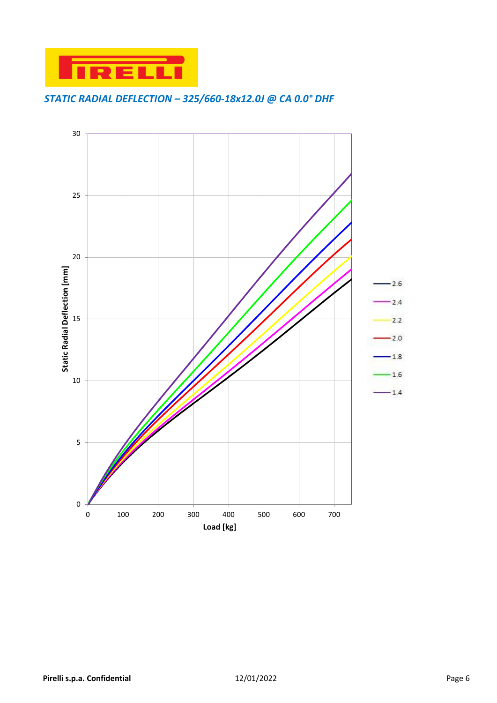

### *STATIC RADIAL DEFLECTION – 325/660-18x12.0J @ CA 0.0° DHF*

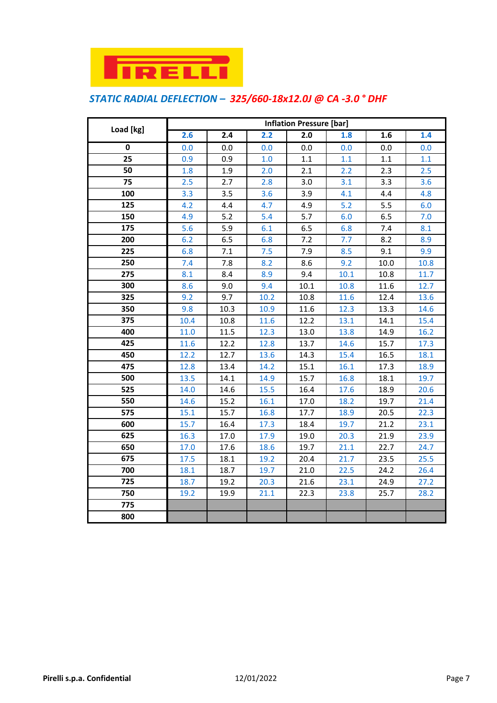

# *STATIC RADIAL DEFLECTION – 325/660-18x12.0J @ CA -3.0 ° DHF*

|           | <b>Inflation Pressure [bar]</b> |                  |      |                  |      |      |      |  |  |  |
|-----------|---------------------------------|------------------|------|------------------|------|------|------|--|--|--|
| Load [kg] | 2.6                             | $\overline{2.4}$ | 2.2  | $\overline{2.0}$ | 1.8  | 1.6  | 1.4  |  |  |  |
| 0         | 0.0                             | 0.0              | 0.0  | 0.0              | 0.0  | 0.0  | 0.0  |  |  |  |
| 25        | 0.9                             | 0.9              | 1.0  | 1.1              | 1.1  | 1.1  | 1.1  |  |  |  |
| 50        | 1.8                             | 1.9              | 2.0  | 2.1              | 2.2  | 2.3  | 2.5  |  |  |  |
| 75        | 2.5                             | 2.7              | 2.8  | 3.0              | 3.1  | 3.3  | 3.6  |  |  |  |
| 100       | 3.3                             | 3.5              | 3.6  | 3.9              | 4.1  | 4.4  | 4.8  |  |  |  |
| 125       | 4.2                             | 4.4              | 4.7  | 4.9              | 5.2  | 5.5  | 6.0  |  |  |  |
| 150       | 4.9                             | 5.2              | 5.4  | 5.7              | 6.0  | 6.5  | 7.0  |  |  |  |
| 175       | 5.6                             | 5.9              | 6.1  | 6.5              | 6.8  | 7.4  | 8.1  |  |  |  |
| 200       | 6.2                             | 6.5              | 6.8  | 7.2              | 7.7  | 8.2  | 8.9  |  |  |  |
| 225       | 6.8                             | 7.1              | 7.5  | 7.9              | 8.5  | 9.1  | 9.9  |  |  |  |
| 250       | 7.4                             | 7.8              | 8.2  | 8.6              | 9.2  | 10.0 | 10.8 |  |  |  |
| 275       | 8.1                             | 8.4              | 8.9  | 9.4              | 10.1 | 10.8 | 11.7 |  |  |  |
| 300       | 8.6                             | 9.0              | 9.4  | 10.1             | 10.8 | 11.6 | 12.7 |  |  |  |
| 325       | 9.2                             | 9.7              | 10.2 | 10.8             | 11.6 | 12.4 | 13.6 |  |  |  |
| 350       | 9.8                             | 10.3             | 10.9 | 11.6             | 12.3 | 13.3 | 14.6 |  |  |  |
| 375       | 10.4                            | 10.8             | 11.6 | 12.2             | 13.1 | 14.1 | 15.4 |  |  |  |
| 400       | 11.0                            | 11.5             | 12.3 | 13.0             | 13.8 | 14.9 | 16.2 |  |  |  |
| 425       | 11.6                            | 12.2             | 12.8 | 13.7             | 14.6 | 15.7 | 17.3 |  |  |  |
| 450       | 12.2                            | 12.7             | 13.6 | 14.3             | 15.4 | 16.5 | 18.1 |  |  |  |
| 475       | 12.8                            | 13.4             | 14.2 | 15.1             | 16.1 | 17.3 | 18.9 |  |  |  |
| 500       | 13.5                            | 14.1             | 14.9 | 15.7             | 16.8 | 18.1 | 19.7 |  |  |  |
| 525       | 14.0                            | 14.6             | 15.5 | 16.4             | 17.6 | 18.9 | 20.6 |  |  |  |
| 550       | 14.6                            | 15.2             | 16.1 | 17.0             | 18.2 | 19.7 | 21.4 |  |  |  |
| 575       | 15.1                            | 15.7             | 16.8 | 17.7             | 18.9 | 20.5 | 22.3 |  |  |  |
| 600       | 15.7                            | 16.4             | 17.3 | 18.4             | 19.7 | 21.2 | 23.1 |  |  |  |
| 625       | 16.3                            | 17.0             | 17.9 | 19.0             | 20.3 | 21.9 | 23.9 |  |  |  |
| 650       | 17.0                            | 17.6             | 18.6 | 19.7             | 21.1 | 22.7 | 24.7 |  |  |  |
| 675       | 17.5                            | 18.1             | 19.2 | 20.4             | 21.7 | 23.5 | 25.5 |  |  |  |
| 700       | 18.1                            | 18.7             | 19.7 | 21.0             | 22.5 | 24.2 | 26.4 |  |  |  |
| 725       | 18.7                            | 19.2             | 20.3 | 21.6             | 23.1 | 24.9 | 27.2 |  |  |  |
| 750       | 19.2                            | 19.9             | 21.1 | 22.3             | 23.8 | 25.7 | 28.2 |  |  |  |
| 775       |                                 |                  |      |                  |      |      |      |  |  |  |
| 800       |                                 |                  |      |                  |      |      |      |  |  |  |